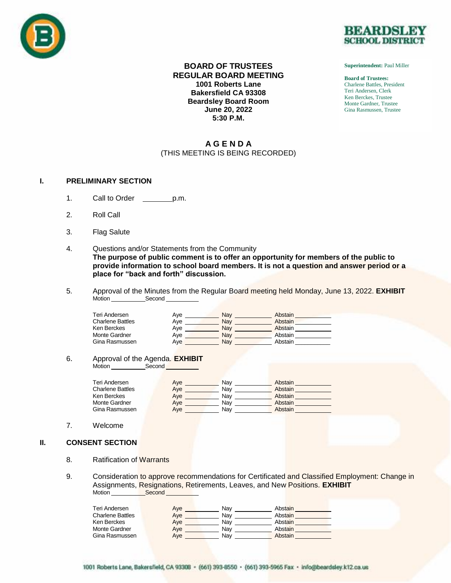



**Superintendent:** Paul Miller

**Board of Trustees:** Charlene Battles, President Teri Andersen, Clerk Ken Berckes, Trustee Monte Gardner, Trustee Gina Rasmussen, Trustee

## **BOARD OF TRUSTEES REGULAR BOARD MEETING 1001 Roberts Lane Bakersfield CA 93308 Beardsley Board Room June 20, 2022 5:30 P.M.**

# **A G E N D A** (THIS MEETING IS BEING RECORDED)

## **I. PRELIMINARY SECTION**

- 1. Call to Order p.m.
- 2. Roll Call
- 3. Flag Salute
- 4. Questions and/or Statements from the Community **The purpose of public comment is to offer an opportunity for members of the public to provide information to school board members. It is not a question and answer period or a place for "back and forth" discussion.**
- 5. Approval of the Minutes from the Regular Board meeting held Monday, June 13, 2022. **EXHIBIT** Motion Second

| Teri Andersen           | Ave | Nav | Abstain |
|-------------------------|-----|-----|---------|
| <b>Charlene Battles</b> | Ave | Nav | Abstain |
| Ken Berckes             | Ave | Nav | Abstain |
| Monte Gardner           | Ave | Nav | Abstain |
| Gina Rasmussen          | Aye | Nav | Abstain |

## 6. Approval of the Agenda. **EXHIBIT**

Motion Second

| Teri Andersen           | Ave | Nav | Abstain |
|-------------------------|-----|-----|---------|
| <b>Charlene Battles</b> | Ave | Nav | Abstain |
| Ken Berckes             | Ave | Nav | Abstain |
| Monte Gardner           | Ave | Nav | Abstain |
| Gina Rasmussen          | Ave | Nav | Abstain |

## 7. Welcome

## **II. CONSENT SECTION**

- 8. Ratification of Warrants
- 9. Consideration to approve recommendations for Certificated and Classified Employment: Change in Assignments, Resignations, Retirements, Leaves, and New Positions. **EXHIBIT** Motion Second

| Teri Andersen           | Ave | Nav | Abstain |  |
|-------------------------|-----|-----|---------|--|
| <b>Charlene Battles</b> | Ave | Nav | Abstain |  |
| Ken Berckes             | Ave | Nav | Abstain |  |
| Monte Gardner           | Aye | Nav | Abstain |  |
| Gina Rasmussen          | Ave | Nav | Abstain |  |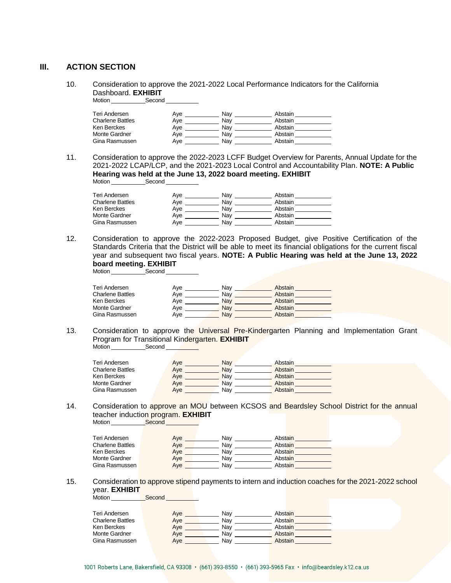# **III. ACTION SECTION**

10. Consideration to approve the 2021-2022 Local Performance Indicators for the California Dashboard. **EXHIBIT** Motion Second

| Teri Andersen           | Ave | Nav | Abstain |  |
|-------------------------|-----|-----|---------|--|
| <b>Charlene Battles</b> | Aye | Nav | Abstain |  |
| Ken Berckes             | Aye | Nav | Abstain |  |
| Monte Gardner           | Aye | Nav | Abstain |  |
| Gina Rasmussen          | Aye | Nav | Abstain |  |

11. Consideration to approve the 2022-2023 LCFF Budget Overview for Parents, Annual Update for the 2021-2022 LCAP/LCP, and the 2021-2023 Local Control and Accountability Plan. **NOTE: A Public Hearing was held at the June 13, 2022 board meeting. EXHIBIT** Motion Second COM

| Teri Andersen           | Ave | Nav | Abstain |
|-------------------------|-----|-----|---------|
| <b>Charlene Battles</b> | Ave | Nav | Abstain |
| Ken Berckes             | Ave | Nav | Abstain |
| Monte Gardner           | Ave | Nav | Abstain |
| Gina Rasmussen          | Ave | Nav | Abstain |

12. Consideration to approve the 2022-2023 Proposed Budget, give Positive Certification of the Standards Criteria that the District will be able to meet its financial obligations for the current fiscal year and subsequent two fiscal years. **NOTE: A Public Hearing was held at the June 13, 2022 board meeting. EXHIBIT**

Motion Second

| Teri Andersen           | Ave | Nav | Abstain |
|-------------------------|-----|-----|---------|
| <b>Charlene Battles</b> | Ave | Nav | Abstain |
| Ken Berckes             | Ave | Nav | Abstain |
| Monte Gardner           | Ave | Nav | Abstain |
| Gina Rasmussen          | Ave | Nav | Abstain |

13. Consideration to approve the Universal Pre-Kindergarten Planning and Implementation Grant Program for Transitional Kindergarten. **EXHIBIT** Motion Second

| Teri Andersen           | Ave | Nav        | Abstain |  |
|-------------------------|-----|------------|---------|--|
| <b>Charlene Battles</b> | Aye | <b>Nav</b> | Abstain |  |
| Ken Berckes             | Aye | Nav        | Abstain |  |
| Monte Gardner           | Aye | Nav        | Abstain |  |
| Gina Rasmussen          | Ave | Nav        | Abstain |  |

14. Consideration to approve an MOU between KCSOS and Beardsley School District for the annual teacher induction program. **EXHIBIT Motion** 

| Teri Andersen    | Ave | Nav | Abstain |  |
|------------------|-----|-----|---------|--|
| Charlene Battles | Ave | Nav | Abstain |  |
| Ken Berckes      | Ave | Nav | Abstain |  |
| Monte Gardner    | Ave | Nav | Abstain |  |
| Gina Rasmussen   | Ave | Nav | Abstain |  |

15. Consideration to approve stipend payments to intern and induction coaches for the 2021-2022 school year. **EXHIBIT** Motion **Second** 

| Teri Andersen           | Ave | Nav | Abstain |  |
|-------------------------|-----|-----|---------|--|
| <b>Charlene Battles</b> | Aye | Nav | Abstain |  |
| Ken Berckes             | Ave | Nav | Abstain |  |
| Monte Gardner           | Ave | Nav | Abstain |  |
| Gina Rasmussen          | Ave | Nav | Abstain |  |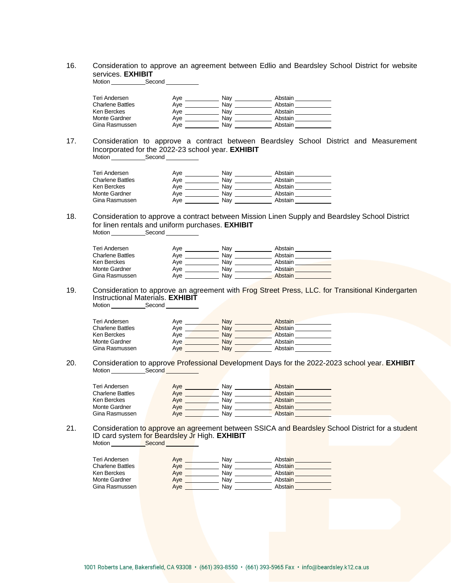## 16. Consideration to approve an agreement between Edlio and Beardsley School District for website services. **EXHIBIT**

Motion \_\_\_\_\_\_\_\_\_\_\_\_\_Second \_

| Teri Andersen           | Ave | Nav | Abstain |  |
|-------------------------|-----|-----|---------|--|
| <b>Charlene Battles</b> | Ave | Nav | Abstain |  |
| Ken Berckes             | Ave | Nav | Abstain |  |
| Monte Gardner           | Ave | Nav | Abstain |  |
| Gina Rasmussen          | Ave | Nav | Abstain |  |

#### 17. Consideration to approve a contract between Beardsley School District and Measurement Incorporated for the 2022-23 school year. **EXHIBIT** Motion Second Contract Second

| Teri Andersen    | Ave | Nav | Abstain |  |
|------------------|-----|-----|---------|--|
| Charlene Battles | Ave | Nav | Abstain |  |
| Ken Berckes      | Ave | Nav | Abstain |  |
| Monte Gardner    | Ave | Nav | Abstain |  |
| Gina Rasmussen   | Ave | Nav | Abstain |  |

#### 18. Consideration to approve a contract between Mission Linen Supply and Beardsley School District for linen rentals and uniform purchases. **EXHIBIT** Motion Second

| Teri Andersen           | Ave | Nav | Abstain |
|-------------------------|-----|-----|---------|
| <b>Charlene Battles</b> | Ave | Nav | Abstain |
| Ken Berckes             | Ave | Nav | Abstain |
| <b>Monte Gardner</b>    | Ave | Nav | Abstain |
| Gina Rasmussen          | Ave | Nav | Abstain |

19. Consideration to approve an agreement with Frog Street Press, LLC. for Transitional Kindergarten Instructional Materials. **EXHIBIT**

Motion Second

| Teri Andersen           | Ave | Nav | Abstain |  |
|-------------------------|-----|-----|---------|--|
| <b>Charlene Battles</b> | Ave | Nav | Abstain |  |
| Ken Berckes             | Ave | Nav | Abstain |  |
| <b>Monte Gardner</b>    | Ave | Nav | Abstain |  |
| Gina Rasmussen          | Aye | Nav | Abstain |  |

#### 20. Consideration to approve Professional Development Days for the 2022-2023 school year. **EXHIBIT** Motion Second Second

| Teri Andersen           | Aye | Nav | Abstain |
|-------------------------|-----|-----|---------|
| <b>Charlene Battles</b> | Aye | Nav | Abstain |
| Ken Berckes             | Aye | Nav | Abstain |
| Monte Gardner           | Ave | Nav | Abstain |
| Gina Rasmussen          | Ave | Nav | Abstain |

#### 21. Consideration to approve an agreement between SSICA and Beardsley School District for a student ID card system for Beardsley Jr High. **EXHIBIT** Motion <u>Communic Second</u>

| Teri Andersen    | Aye | Nav | Abstain |  |
|------------------|-----|-----|---------|--|
| Charlene Battles | Ave | Nav | Abstain |  |
| Ken Berckes      | Ave | Nav | Abstain |  |
| Monte Gardner    | Ave | Nav | Abstain |  |
| Gina Rasmussen   | Ave | Nav | Abstain |  |
|                  |     |     |         |  |